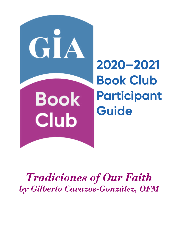

# *Tradiciones of Our Faith by Gilberto Cavazos-González, OFM*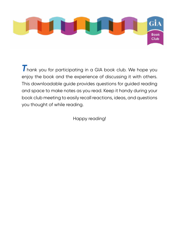

*T*hank you for participating in a GIA book club. We hope you enjoy the book and the experience of discussing it with others. This downloadable guide provides questions for guided reading and space to make notes as you read. Keep it handy during your book club meeting to easily recall reactions, ideas, and questions you thought of while reading.

Happy reading!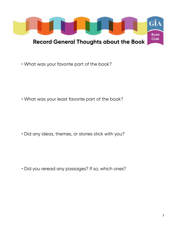

• What was your favorite part of the book?

• What was your least favorite part of the book?

• Did any ideas, themes, or stories stick with you?

• Did you reread any passages? If so, which ones?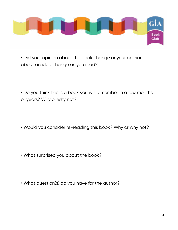

• Did your opinion about the book change or your opinion about an idea change as you read?

• Do you think this is a book you will remember in a few months or years? Why or why not?

- Would you consider re-reading this book? Why or why not?
- What surprised you about the book?
- What question(s) do you have for the author?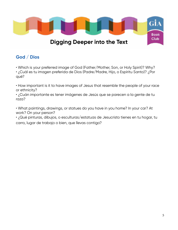

## **God / Dios**

• Which is your preferred image of God (Father/Mother, Son, or Holy Spirit)? Why?

• ¿Cuál es tu imagen preferida de Dios (Padre/Madre, Hijo, o Espíritu Santo)? ¿Por qué?

• How important is it to have images of Jesus that resemble the people of your race or ethnicity?

• ¿Cuán importante es tener imágenes de Jesús que se parecen a la gente de tu raza?

• What paintings, drawings, or statues do you have in you home? In your car? At work? On your person?

• ¿Qué pinturas, dibujos, o esculturas/estatuas de Jesucristo tienes en tu hogar, tu carro, lugar de trabajo o bien, que llevas contigo?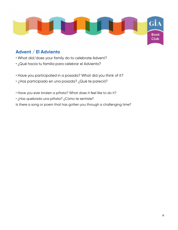

#### **Advent / El Adviento**

- What did/does your family do to celebrate Advent?
- ¿Qué hacía tu familia para celebrar el Adviento?
- Have you participated in a posada? What did you think of it?
- ¿Has participado en una posada? ¿Qué te pareció?
- Have you ever broken a piñata? What does it feel like to do it?
- ¿Has quebrado una piñata? ¿Cómo te sentiste?

Is there a song or poem that has gotten you through a challenging time?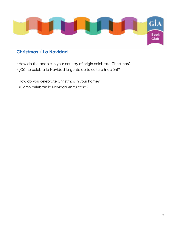

## **Christmas / La Navidad**

- How do the people in your country of origin celebrate Christmas?
- ¿Cómo celebra la Navidad la gente de tu cultura (nación)?
- How do you celebrate Christmas in your home?
- ¿Cómo celebran la Navidad en tu casa?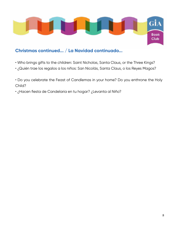

#### **Christmas continued... / La Navidad continuado...**

- Who brings gifts to the children: Saint Nicholas, Santa Claus, or the Three Kings?
- ¿Quién trae los regalos a los niños: San Nicolás, Santa Claus, o los Reyes Magos?
- Do you celebrate the Feast of Candlemas in your home? Do you enthrone the Holy Child?
- ¿Hacen fiesta de Candelaria en tu hogar? ¿Levanta al Niño?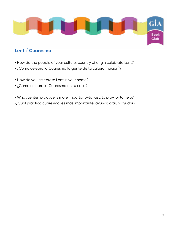

## **Lent / Cuaresma**

- How do the people of your culture/country of origin celebrate Lent?
- ¿Cómo celebra la Cuaresma la gente de tu cultura (nación)?
- How do you celebrate Lent in your home?
- ¿Cómo celebra la Cuaresma en tu casa?
- What Lenten practice is more important—to fast, to pray, or to help?
- •¿Cuál práctica cuaresmal es más importante: ayunar, orar, o ayudar?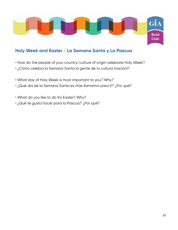

#### **Holy Week and Easter / La Semana Santa y La Pascua**

- How do the people of your country/culture of origin celebrate Holy Week?
- ¿Cómo celebra la Semana Santa la gente de tu cultura (nación)?
- What day of Holy Week is most important to you? Why?
- ¿Qué día de la Semana Santa es más llamativo para ti? ¿Por qué?
- What do you like to do for Easter? Why?
- ¿Qué te gusta hacer para la Pascua? ¿Por qué?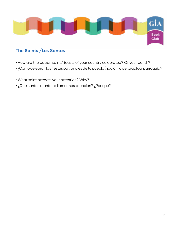

#### **The Saints /Los Santos**

- How are the patron saints' feasts of your country celebrated? Of your parish?
- ¿Cómo celebran las fiestas patronales de tu pueblo (nación) o de tu actual parroquía?
- What saint attracts your attention? Why?
- ¿Qué santo o santa te llama más atención? ¿Por qué?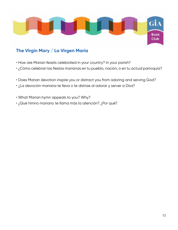

## **The Virgin Mary / La Virgen María**

- How are Marian feasts celebrated in your country? In your parish?
- ¿Cómo celebran las fiestas marianas en tu pueblo, nación, o en tu actual parroquía?
- Does Marian devotion inspire you or distract you from adoring and serving God?
- ¿La devoción mariana te lleva o te distrae al adorar y server a Dios?
- What Marian hymn appeals to you? Why?
- ¿Qué himno mariano te llama más la atención? ¿Por qué?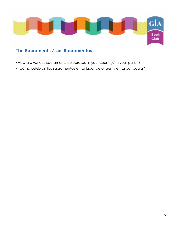

## **The Sacraments / Los Sacramentos**

- How are various sacraments celebrated in your country? In your parish?
- ¿Cómo celebran los sacramentos en tu lugar de origen y en tu parroquía?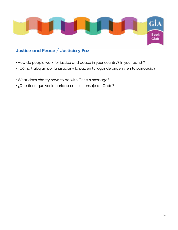

#### **Justice and Peace / Justicia y Paz**

- How do people work for justice and peace in your country? In your parish?
- ¿Cómo trabajan por la justiciar y la paz en tu lugar de origen y en tu parroquía?
- What does charity have to do with Christ's message?
- ¿Qué tiene que ver la caridad con el mensaje de Cristo?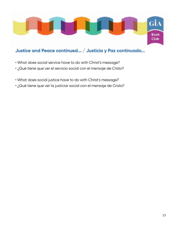

## **Justice and Peace continued... / Justicia y Paz continuado...**

- What does social service have to do with Christ's message?
- ¿Qué tiene que ver el servicio social con el mensaje de Cristo?
- What does social justice have to do with Christ's message?
- ¿Qué tiene que ver la justiciar social con el mensaje de Cristo?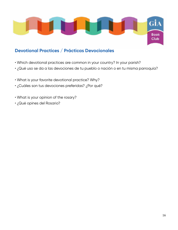

#### **Devotional Practices / Prácticas Devocionales**

- Which devotional practices are common in your country? In your parish?
- ¿Qué uso se da a las devociones de tu pueblo o nación o en tu misma parroquía?
- What is your favorite devotional practice? Why?
- ¿Cuáles son tus devociones preferidas? ¿Por qué?
- What is your opinion of the rosary?
- ¿Qué opines del Rosario?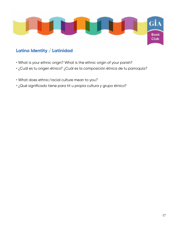

## **Latino Identity / Latinidad**

- What is your ethnic origin? What is the ethnic origin of your parish?
- ¿Cuál es tu origen étnico? ¿Cuál es la composición étnica de tu parroquía?
- What does ethnic/racial culture mean to you?
- ¿Qué significado tiene para tit u propia cultura y grupo étnico?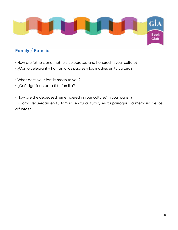

## **Family / Familia**

- How are fathers and mothers celebrated and honored in your culture?
- ¿Cómo celebrant y honran a los padres y las madres en tu cultura?
- What does your family mean to you?
- ¿Qué significan para ti tu familia?
- How are the deceased remembered in your culture? In your parish?

• ¿Cómo recuerdan en tu familia, en tu cultura y en tu parroquía la memoría de los difuntos?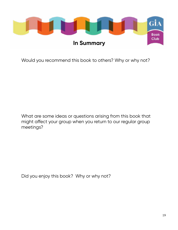

Would you recommend this book to others? Why or why not?

What are some ideas or questions arising from this book that might affect your group when you return to our regular group meetings?

Did you enjoy this book? Why or why not?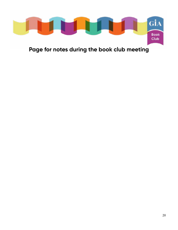

**Page for notes during the book club meeting**